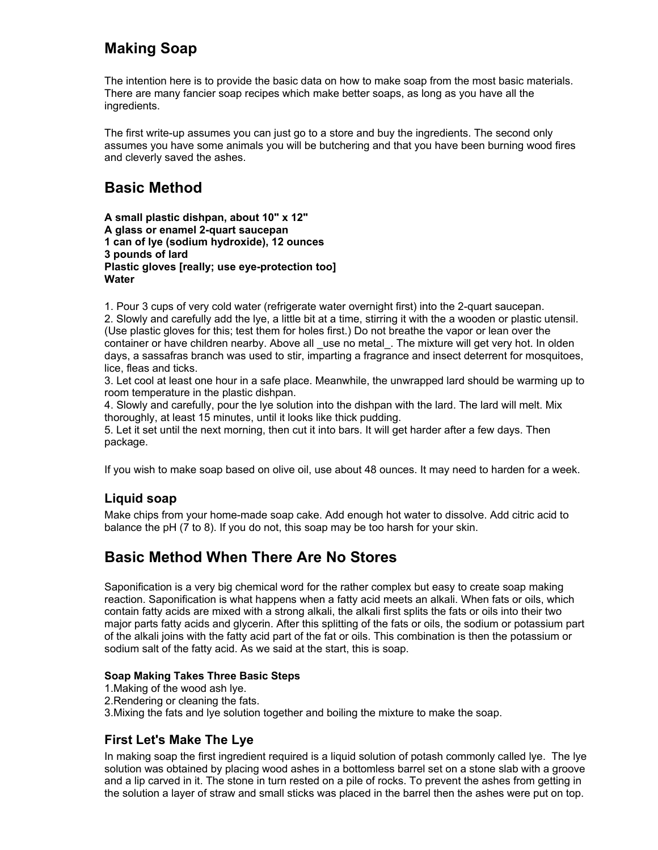# **Making Soap**

The intention here is to provide the basic data on how to make soap from the most basic materials. There are many fancier soap recipes which make better soaps, as long as you have all the ingredients.

The first write-up assumes you can just go to a store and buy the ingredients. The second only assumes you have some animals you will be butchering and that you have been burning wood fires and cleverly saved the ashes.

# **Basic Method**

**A small plastic dishpan, about 10" x 12" A glass or enamel 2-quart saucepan 1 can of lye (sodium hydroxide), 12 ounces 3 pounds of lard Plastic gloves [really; use eye-protection too] Water**

1. Pour 3 cups of very cold water (refrigerate water overnight first) into the 2-quart saucepan.

2. Slowly and carefully add the lye, a little bit at a time, stirring it with the a wooden or plastic utensil. (Use plastic gloves for this; test them for holes first.) Do not breathe the vapor or lean over the container or have children nearby. Above all \_use no metal\_. The mixture will get very hot. In olden days, a sassafras branch was used to stir, imparting a fragrance and insect deterrent for mosquitoes, lice, fleas and ticks.

3. Let cool at least one hour in a safe place. Meanwhile, the unwrapped lard should be warming up to room temperature in the plastic dishpan.

4. Slowly and carefully, pour the lye solution into the dishpan with the lard. The lard will melt. Mix thoroughly, at least 15 minutes, until it looks like thick pudding.

5. Let it set until the next morning, then cut it into bars. It will get harder after a few days. Then package.

If you wish to make soap based on olive oil, use about 48 ounces. It may need to harden for a week.

## **Liquid soap**

Make chips from your home-made soap cake. Add enough hot water to dissolve. Add citric acid to balance the pH (7 to 8). If you do not, this soap may be too harsh for your skin.

# **Basic Method When There Are No Stores**

Saponification is a very big chemical word for the rather complex but easy to create soap making reaction. Saponification is what happens when a fatty acid meets an alkali. When fats or oils, which contain fatty acids are mixed with a strong alkali, the alkali first splits the fats or oils into their two major parts fatty acids and glycerin. After this splitting of the fats or oils, the sodium or potassium part of the alkali joins with the fatty acid part of the fat or oils. This combination is then the potassium or sodium salt of the fatty acid. As we said at the start, this is soap.

#### **Soap Making Takes Three Basic Steps**

- 1.Making of the wood ash lye.
- 2.Rendering or cleaning the fats.

3.Mixing the fats and lye solution together and boiling the mixture to make the soap.

## **First Let's Make The Lye**

In making soap the first ingredient required is a liquid solution of potash commonly called lye. The lye solution was obtained by placing wood ashes in a bottomless barrel set on a stone slab with a groove and a lip carved in it. The stone in turn rested on a pile of rocks. To prevent the ashes from getting in the solution a layer of straw and small sticks was placed in the barrel then the ashes were put on top.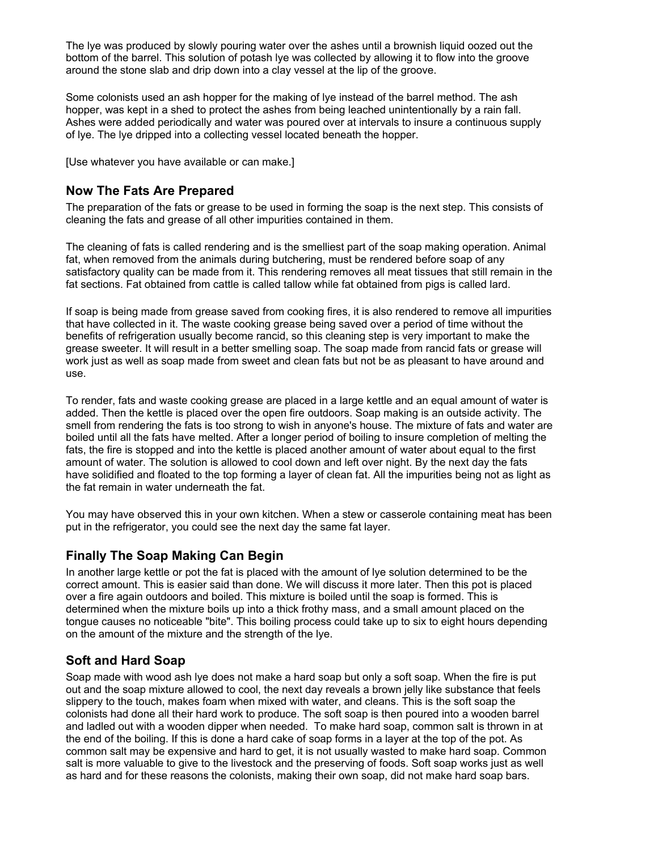The lye was produced by slowly pouring water over the ashes until a brownish liquid oozed out the bottom of the barrel. This solution of potash lye was collected by allowing it to flow into the groove around the stone slab and drip down into a clay vessel at the lip of the groove.

Some colonists used an ash hopper for the making of lye instead of the barrel method. The ash hopper, was kept in a shed to protect the ashes from being leached unintentionally by a rain fall. Ashes were added periodically and water was poured over at intervals to insure a continuous supply of lye. The lye dripped into a collecting vessel located beneath the hopper.

[Use whatever you have available or can make.]

### **Now The Fats Are Prepared**

The preparation of the fats or grease to be used in forming the soap is the next step. This consists of cleaning the fats and grease of all other impurities contained in them.

The cleaning of fats is called rendering and is the smelliest part of the soap making operation. Animal fat, when removed from the animals during butchering, must be rendered before soap of any satisfactory quality can be made from it. This rendering removes all meat tissues that still remain in the fat sections. Fat obtained from cattle is called tallow while fat obtained from pigs is called lard.

If soap is being made from grease saved from cooking fires, it is also rendered to remove all impurities that have collected in it. The waste cooking grease being saved over a period of time without the benefits of refrigeration usually become rancid, so this cleaning step is very important to make the grease sweeter. It will result in a better smelling soap. The soap made from rancid fats or grease will work just as well as soap made from sweet and clean fats but not be as pleasant to have around and use.

To render, fats and waste cooking grease are placed in a large kettle and an equal amount of water is added. Then the kettle is placed over the open fire outdoors. Soap making is an outside activity. The smell from rendering the fats is too strong to wish in anyone's house. The mixture of fats and water are boiled until all the fats have melted. After a longer period of boiling to insure completion of melting the fats, the fire is stopped and into the kettle is placed another amount of water about equal to the first amount of water. The solution is allowed to cool down and left over night. By the next day the fats have solidified and floated to the top forming a layer of clean fat. All the impurities being not as light as the fat remain in water underneath the fat.

You may have observed this in your own kitchen. When a stew or casserole containing meat has been put in the refrigerator, you could see the next day the same fat layer.

#### **Finally The Soap Making Can Begin**

In another large kettle or pot the fat is placed with the amount of lye solution determined to be the correct amount. This is easier said than done. We will discuss it more later. Then this pot is placed over a fire again outdoors and boiled. This mixture is boiled until the soap is formed. This is determined when the mixture boils up into a thick frothy mass, and a small amount placed on the tongue causes no noticeable "bite". This boiling process could take up to six to eight hours depending on the amount of the mixture and the strength of the lye.

### **Soft and Hard Soap**

Soap made with wood ash lye does not make a hard soap but only a soft soap. When the fire is put out and the soap mixture allowed to cool, the next day reveals a brown jelly like substance that feels slippery to the touch, makes foam when mixed with water, and cleans. This is the soft soap the colonists had done all their hard work to produce. The soft soap is then poured into a wooden barrel and ladled out with a wooden dipper when needed. To make hard soap, common salt is thrown in at the end of the boiling. If this is done a hard cake of soap forms in a layer at the top of the pot. As common salt may be expensive and hard to get, it is not usually wasted to make hard soap. Common salt is more valuable to give to the livestock and the preserving of foods. Soft soap works just as well as hard and for these reasons the colonists, making their own soap, did not make hard soap bars.